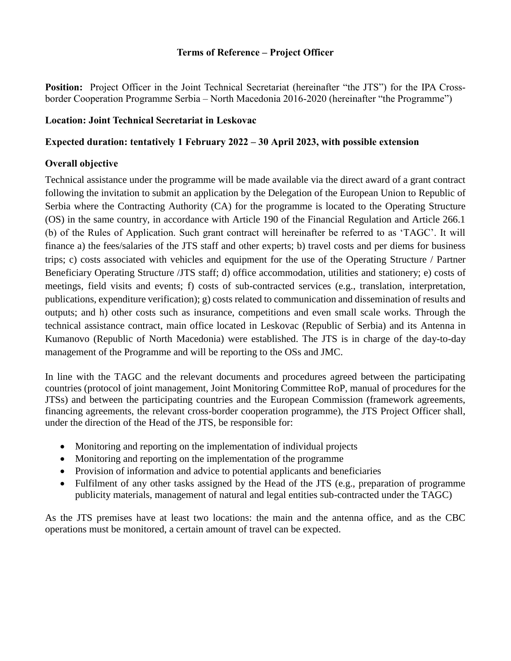### **Terms of Reference – Project Officer**

Position: Project Officer in the Joint Technical Secretariat (hereinafter "the JTS") for the IPA Crossborder Cooperation Programme Serbia – North Macedonia 2016-2020 (hereinafter "the Programme")

#### **Location: Joint Technical Secretariat in Leskovac**

### **Expected duration: tentatively 1 February 2022 – 30 April 2023, with possible extension**

#### **Overall objective**

Technical assistance under the programme will be made available via the direct award of a grant contract following the invitation to submit an application by the Delegation of the European Union to Republic of Serbia where the Contracting Authority (CA) for the programme is located to the Operating Structure (OS) in the same country, in accordance with Article 190 of the Financial Regulation and Article 266.1 (b) of the Rules of Application. Such grant contract will hereinafter be referred to as 'TAGC'. It will finance a) the fees/salaries of the JTS staff and other experts; b) travel costs and per diems for business trips; c) costs associated with vehicles and equipment for the use of the Operating Structure / Partner Beneficiary Operating Structure /JTS staff; d) office accommodation, utilities and stationery; e) costs of meetings, field visits and events; f) costs of sub-contracted services (e.g., translation, interpretation, publications, expenditure verification); g) costs related to communication and dissemination of results and outputs; and h) other costs such as insurance, competitions and even small scale works. Through the technical assistance contract, main office located in Leskovac (Republic of Serbia) and its Antenna in Kumanovo (Republic of North Macedonia) were established. The JTS is in charge of the day-to-day management of the Programme and will be reporting to the OSs and JMC.

In line with the TAGC and the relevant documents and procedures agreed between the participating countries (protocol of joint management, Joint Monitoring Committee RoP, manual of procedures for the JTSs) and between the participating countries and the European Commission (framework agreements, financing agreements, the relevant cross-border cooperation programme), the JTS Project Officer shall, under the direction of the Head of the JTS, be responsible for:

- Monitoring and reporting on the implementation of individual projects
- Monitoring and reporting on the implementation of the programme
- Provision of information and advice to potential applicants and beneficiaries
- Fulfilment of any other tasks assigned by the Head of the JTS (e.g., preparation of programme publicity materials, management of natural and legal entities sub-contracted under the TAGC)

As the JTS premises have at least two locations: the main and the antenna office, and as the CBC operations must be monitored, a certain amount of travel can be expected.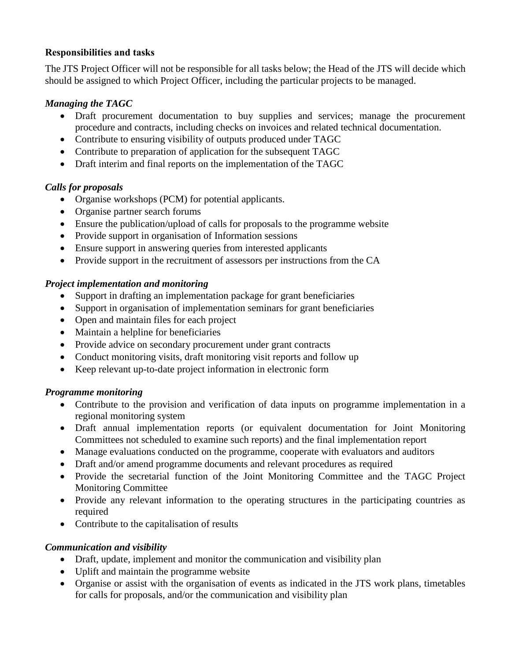## **Responsibilities and tasks**

The JTS Project Officer will not be responsible for all tasks below; the Head of the JTS will decide which should be assigned to which Project Officer, including the particular projects to be managed.

## *Managing the TAGC*

- Draft procurement documentation to buy supplies and services; manage the procurement procedure and contracts, including checks on invoices and related technical documentation.
- Contribute to ensuring visibility of outputs produced under TAGC
- Contribute to preparation of application for the subsequent TAGC
- Draft interim and final reports on the implementation of the TAGC

# *Calls for proposals*

- Organise workshops (PCM) for potential applicants.
- Organise partner search forums
- Ensure the publication/upload of calls for proposals to the programme website
- Provide support in organisation of Information sessions
- Ensure support in answering queries from interested applicants
- Provide support in the recruitment of assessors per instructions from the CA

## *Project implementation and monitoring*

- Support in drafting an implementation package for grant beneficiaries
- Support in organisation of implementation seminars for grant beneficiaries
- Open and maintain files for each project
- Maintain a helpline for beneficiaries
- Provide advice on secondary procurement under grant contracts
- Conduct monitoring visits, draft monitoring visit reports and follow up
- Keep relevant up-to-date project information in electronic form

# *Programme monitoring*

- Contribute to the provision and verification of data inputs on programme implementation in a regional monitoring system
- Draft annual implementation reports (or equivalent documentation for Joint Monitoring Committees not scheduled to examine such reports) and the final implementation report
- Manage evaluations conducted on the programme, cooperate with evaluators and auditors
- Draft and/or amend programme documents and relevant procedures as required
- Provide the secretarial function of the Joint Monitoring Committee and the TAGC Project Monitoring Committee
- Provide any relevant information to the operating structures in the participating countries as required
- Contribute to the capitalisation of results

# *Communication and visibility*

- Draft, update, implement and monitor the communication and visibility plan
- Uplift and maintain the programme website
- Organise or assist with the organisation of events as indicated in the JTS work plans, timetables for calls for proposals, and/or the communication and visibility plan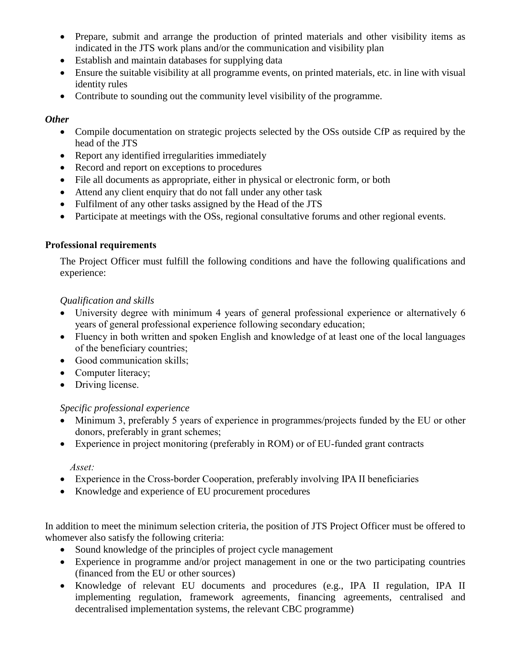- Prepare, submit and arrange the production of printed materials and other visibility items as indicated in the JTS work plans and/or the communication and visibility plan
- Establish and maintain databases for supplying data
- Ensure the suitable visibility at all programme events, on printed materials, etc. in line with visual identity rules
- Contribute to sounding out the community level visibility of the programme.

## *Other*

- Compile documentation on strategic projects selected by the OSs outside CfP as required by the head of the JTS
- Report any identified irregularities immediately
- Record and report on exceptions to procedures
- File all documents as appropriate, either in physical or electronic form, or both
- Attend any client enquiry that do not fall under any other task
- Fulfilment of any other tasks assigned by the Head of the JTS
- Participate at meetings with the OSs, regional consultative forums and other regional events.

## **Professional requirements**

The Project Officer must fulfill the following conditions and have the following qualifications and experience:

## *Qualification and skills*

- University degree with minimum 4 years of general professional experience or alternatively 6 years of general professional experience following secondary education;
- Fluency in both written and spoken English and knowledge of at least one of the local languages of the beneficiary countries;
- Good communication skills;
- Computer literacy;
- Driving license.

## *Specific professional experience*

- Minimum 3, preferably 5 years of experience in programmes/projects funded by the EU or other donors, preferably in grant schemes;
- Experience in project monitoring (preferably in ROM) or of EU-funded grant contracts

## *Asset:*

- Experience in the Cross-border Cooperation, preferably involving IPA II beneficiaries
- Knowledge and experience of EU procurement procedures

In addition to meet the minimum selection criteria, the position of JTS Project Officer must be offered to whomever also satisfy the following criteria:

- Sound knowledge of the principles of project cycle management
- Experience in programme and/or project management in one or the two participating countries (financed from the EU or other sources)
- Knowledge of relevant EU documents and procedures (e.g., IPA II regulation, IPA II implementing regulation, framework agreements, financing agreements, centralised and decentralised implementation systems, the relevant CBC programme)